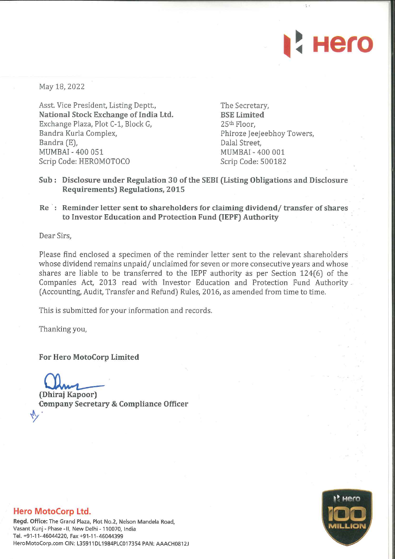

May 18, 2022

Asst. Vice President, Listing Deptt., National Stock Exchange of India Ltd. Exchange Plaza, Plot C-1, Block G, Bandra Kurla Complex, Bandra (E), MUMBAI - 400 051 Scrip Code: HEROMOTOCO

The Secretary, BSE Limited 25th Floor, Phiroze Jeejeebhoy Towers, Dalal Street, MUMBAI - 400 001 Scrip Code: 500182

- Sub : Disclosure under Regulation 30 of the SEBI (Listing Obligations and Disclosure Requirements) Regulations, 2015
- Re: Reminder letter sent to shareholders for claiming dividend/ transfer of shares to Investor Education and Protection Fund (IEPF) Authority

Dear Sirs,

Please find enclosed a specimen of the reminder letter sent to the relevant shareholders whose dividend remains unpaid/ unclaimed for seven or more consecutive years and whose shares are liable to be transferred to the IEPF authority as per Section 124(6) of the Companies Act, 2013 read with Investor Education and Protection Fund Authority (Accounting, Audit, Transfer and Refund) Rules, 2016, as amended from time to time.

This is submitted for your information and records.

Thanking you,

For Hero MotoCorp Limited

(Dhiraj Kapoor)

Company Secretary & Compliance Officer

## **Hero** 1111 **MILLION**

## Hero MotoCorp Ltd.

Regd. Office: The Grand Plaza, Plot No.2, Nelson Mandela Road, Vasant Kunj - Phase -II, New Delhi - 110070, India Tel. +91-11-46044220, Fax +91-11-46044399 HeroMotoCorp.com CIN: L35911DL1984PLC017354 PAN: AAACH0812J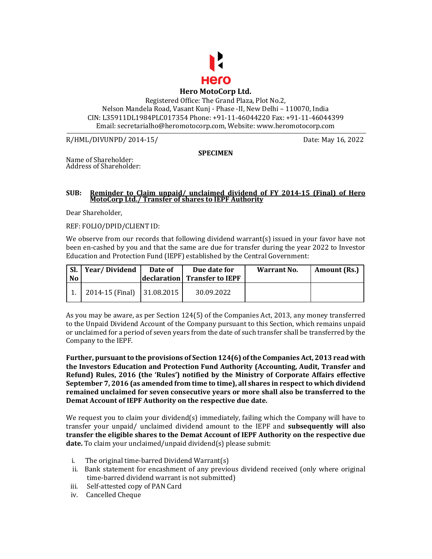

Registered Office: The Grand Plaza, Plot No.2, Nelson Mandela Road, Vasant Kunj - Phase -II, New Delhi – 110070, India CIN: L35911DL1984PLC017354 Phone: +91-11-46044220 Fax: +91-11-46044399 Email: secretarialho@heromotocorp.com, Website: www.heromotocorp.com

R/HML/DIVUNPD/ 2014-15/ Date: May 16, 2022

## **SPECIMEN**

Name of Shareholder: Address of Shareholder:

## **SUB: Reminder to Claim unpaid/ unclaimed dividend of FY 2014-15 (Final) of Hero MotoCorp Ltd./ Transfer of shares to IEPF Authority**

Dear Shareholder,

REF: FOLIO/DPID/CLIENT ID:

We observe from our records that following dividend warrant(s) issued in your favor have not been en-cashed by you and that the same are due for transfer during the year 2022 to Investor Education and Protection Fund (IEPF) established by the Central Government:

| $\mathsf{SL}$<br><b>No</b> | Year/Dividend              | Date of | Due date for<br>declaration Transfer to IEPF | Warrant No. | Amount (Rs.) |
|----------------------------|----------------------------|---------|----------------------------------------------|-------------|--------------|
|                            | 2014-15 (Final) 31.08.2015 |         | 30.09.2022                                   |             |              |

As you may be aware, as per Section 124(5) of the Companies Act, 2013, any money transferred to the Unpaid Dividend Account of the Company pursuant to this Section, which remains unpaid or unclaimed for a period of seven years from the date of such transfer shall be transferred by the Company to the IEPF.

**Further, pursuant to the provisions of Section 124(6) of the Companies Act, 2013 read with the Investors Education and Protection Fund Authority (Accounting, Audit, Transfer and Refund) Rules, 2016 (the 'Rules') notified by the Ministry of Corporate Affairs effective September 7, 2016 (as amended from time to time), all shares in respect to which dividend remained unclaimed for seven consecutive years or more shall also be transferred to the Demat Account of IEPF Authority on the respective due date.** 

We request you to claim your dividend(s) immediately, failing which the Company will have to transfer your unpaid/ unclaimed dividend amount to the IEPF and **subsequently will also transfer the eligible shares to the Demat Account of IEPF Authority on the respective due date.** To claim your unclaimed/unpaid dividend(s) please submit:

- i. The original time-barred Dividend Warrant(s)
- ii. Bank statement for encashment of any previous dividend received (only where original time-barred dividend warrant is not submitted)
- iii. Self-attested copy of PAN Card
- iv. Cancelled Cheque